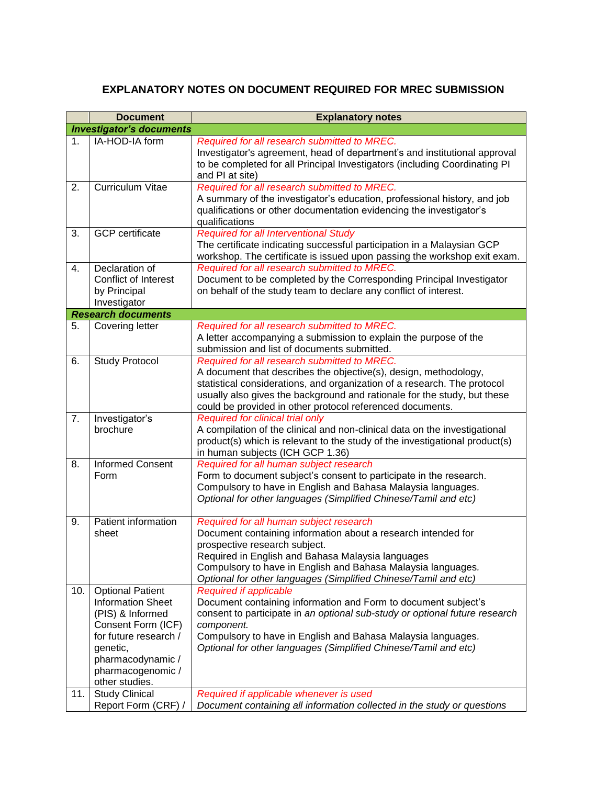## **EXPLANATORY NOTES ON DOCUMENT REQUIRED FOR MREC SUBMISSION**

|                | <b>Document</b>                                                                                                                                                                                                         | <b>Explanatory notes</b>                                                                                                                                                                                                                                                                                                                                                   |  |  |
|----------------|-------------------------------------------------------------------------------------------------------------------------------------------------------------------------------------------------------------------------|----------------------------------------------------------------------------------------------------------------------------------------------------------------------------------------------------------------------------------------------------------------------------------------------------------------------------------------------------------------------------|--|--|
|                | <b>Investigator's documents</b>                                                                                                                                                                                         |                                                                                                                                                                                                                                                                                                                                                                            |  |  |
| 1 <sub>1</sub> | IA-HOD-IA form                                                                                                                                                                                                          | Required for all research submitted to MREC.<br>Investigator's agreement, head of department's and institutional approval<br>to be completed for all Principal Investigators (including Coordinating PI<br>and PI at site)                                                                                                                                                 |  |  |
| 2.             | Curriculum Vitae                                                                                                                                                                                                        | Required for all research submitted to MREC.<br>A summary of the investigator's education, professional history, and job<br>qualifications or other documentation evidencing the investigator's<br>qualifications                                                                                                                                                          |  |  |
| 3.             | <b>GCP</b> certificate                                                                                                                                                                                                  | <b>Required for all Interventional Study</b><br>The certificate indicating successful participation in a Malaysian GCP<br>workshop. The certificate is issued upon passing the workshop exit exam.                                                                                                                                                                         |  |  |
| 4.             | Declaration of<br>Conflict of Interest<br>by Principal<br>Investigator                                                                                                                                                  | Required for all research submitted to MREC.<br>Document to be completed by the Corresponding Principal Investigator<br>on behalf of the study team to declare any conflict of interest.                                                                                                                                                                                   |  |  |
|                | <b>Research documents</b>                                                                                                                                                                                               |                                                                                                                                                                                                                                                                                                                                                                            |  |  |
| 5.             | Covering letter                                                                                                                                                                                                         | Required for all research submitted to MREC.<br>A letter accompanying a submission to explain the purpose of the<br>submission and list of documents submitted.                                                                                                                                                                                                            |  |  |
| 6.             | <b>Study Protocol</b>                                                                                                                                                                                                   | Required for all research submitted to MREC.<br>A document that describes the objective(s), design, methodology,<br>statistical considerations, and organization of a research. The protocol<br>usually also gives the background and rationale for the study, but these<br>could be provided in other protocol referenced documents.                                      |  |  |
| 7.             | Investigator's<br>brochure                                                                                                                                                                                              | Required for clinical trial only<br>A compilation of the clinical and non-clinical data on the investigational<br>product(s) which is relevant to the study of the investigational product(s)<br>in human subjects (ICH GCP 1.36)                                                                                                                                          |  |  |
| 8.             | <b>Informed Consent</b><br>Form                                                                                                                                                                                         | Required for all human subject research<br>Form to document subject's consent to participate in the research.<br>Compulsory to have in English and Bahasa Malaysia languages.<br>Optional for other languages (Simplified Chinese/Tamil and etc)                                                                                                                           |  |  |
| 9.             | Patient information<br>sheet                                                                                                                                                                                            | Required for all human subject research<br>Document containing information about a research intended for<br>prospective research subject.<br>Required in English and Bahasa Malaysia languages<br>Compulsory to have in English and Bahasa Malaysia languages.<br>Optional for other languages (Simplified Chinese/Tamil and etc)                                          |  |  |
| 10.<br>11.     | <b>Optional Patient</b><br><b>Information Sheet</b><br>(PIS) & Informed<br>Consent Form (ICF)<br>for future research /<br>genetic,<br>pharmacodynamic /<br>pharmacogenomic /<br>other studies.<br><b>Study Clinical</b> | <b>Required if applicable</b><br>Document containing information and Form to document subject's<br>consent to participate in an optional sub-study or optional future research<br>component.<br>Compulsory to have in English and Bahasa Malaysia languages.<br>Optional for other languages (Simplified Chinese/Tamil and etc)<br>Required if applicable whenever is used |  |  |
|                | Report Form (CRF) /                                                                                                                                                                                                     | Document containing all information collected in the study or questions                                                                                                                                                                                                                                                                                                    |  |  |